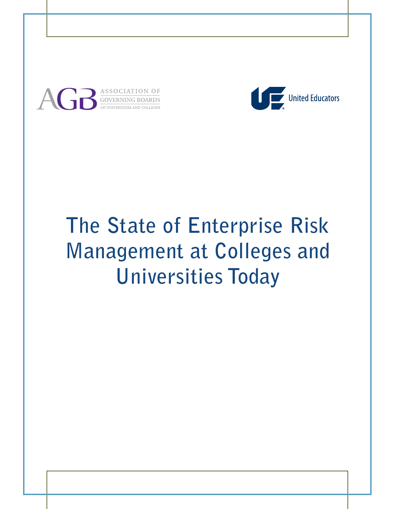

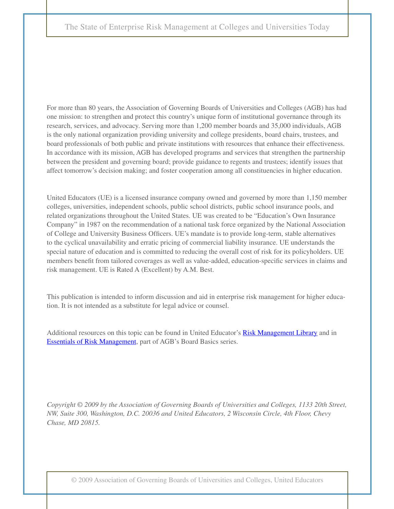For more than 80 years, the Association of Governing Boards of Universities and Colleges (AGB) has had one mission: to strengthen and protect this country's unique form of institutional governance through its research, services, and advocacy. Serving more than 1,200 member boards and 35,000 individuals, AGB is the only national organization providing university and college presidents, board chairs, trustees, and board professionals of both public and private institutions with resources that enhance their effectiveness. In accordance with its mission, AGB has developed programs and services that strengthen the partnership between the president and governing board; provide guidance to regents and trustees; identify issues that affect tomorrow's decision making; and foster cooperation among all constituencies in higher education.

United Educators (UE) is a licensed insurance company owned and governed by more than 1,150 member colleges, universities, independent schools, public school districts, public school insurance pools, and related organizations throughout the United States. UE was created to be "Education's Own Insurance Company" in 1987 on the recommendation of a national task force organized by the National Association of College and University Business Officers. UE's mandate is to provide long-term, stable alternatives to the cyclical unavailability and erratic pricing of commercial liability insurance. UE understands the special nature of education and is committed to reducing the overall cost of risk for its policyholders. UE members benefit from tailored coverages as well as value-added, education-specific services in claims and risk management. UE is Rated A (Excellent) by A.M. Best.

This publication is intended to inform discussion and aid in enterprise risk management for higher education. It is not intended as a substitute for legal advice or counsel.

Additional resources on this topic can be found in United Educator's [Risk Management Library a](http://www.ue.org/membersonly/member_login.asp?URL=/membersonly/member_library.asp?)nd in [Essentials of Risk Management,](http://www.agb.org/wmspage.cfm?parm1=602) part of AGB's Board Basics series.

*Copyright © 2009 by the Association of Governing Boards of Universities and Colleges, 1133 20th Street, NW, Suite 300, Washington, D.C. 20036 and United Educators, 2 Wisconsin Circle, 4th Floor, Chevy Chase, MD 20815.*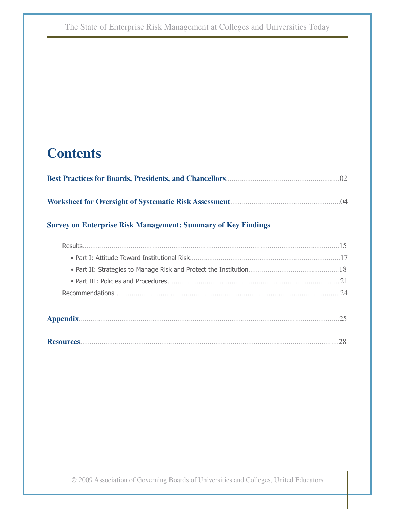# **Contents**

# **Survey on Enterprise Risk Management: Summary of Key Findings**

| Results |                      |
|---------|----------------------|
|         |                      |
|         |                      |
|         | 21                   |
|         | $\gamma_{\varDelta}$ |
|         |                      |

**Resources**......................................................................................................................................28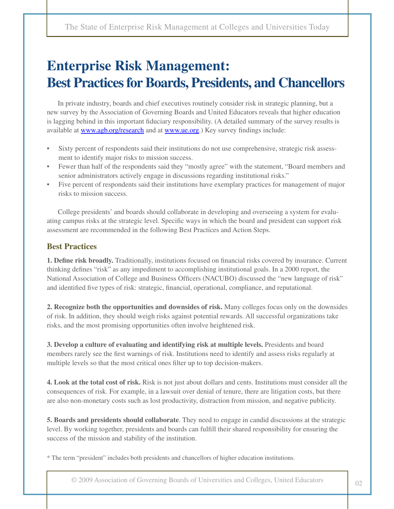# **Enterprise Risk Management: Best Practices for Boards, Presidents, and Chancellors**

In private industry, boards and chief executives routinely consider risk in strategic planning, but a new survey by the Association of Governing Boards and United Educators reveals that higher education is lagging behind in this important fiduciary responsibility. (A detailed summary of the survey results is available at [www.agb.org/research](http://www.agb.org/wmspage.cfm?parm1=1596) and at www.ue.org.) Key survey findings include:

- Sixty percent of respondents said their institutions do not use comprehensive, strategic risk assessment to identify major risks to mission success.
- Fewer than half of the respondents said they "mostly agree" with the statement, "Board members and senior administrators actively engage in discussions regarding institutional risks."
- Five percent of respondents said their institutions have exemplary practices for management of major risks to mission success.

College presidents<sup>\*</sup> and boards should collaborate in developing and overseeing a system for evaluating campus risks at the strategic level. Specific ways in which the board and president can support risk assessment are recommended in the following Best Practices and Action Steps.

## **Best Practices**

**1. Define risk broadly.** Traditionally, institutions focused on financial risks covered by insurance. Current thinking defines "risk" as any impediment to accomplishing institutional goals. In a 2000 report, the National Association of College and Business Officers (NACUBO) discussed the "new language of risk" and identified five types of risk: strategic, financial, operational, compliance, and reputational.

**2. Recognize both the opportunities and downsides of risk.** Many colleges focus only on the downsides of risk. In addition, they should weigh risks against potential rewards. All successful organizations take risks, and the most promising opportunities often involve heightened risk.

**3. Develop a culture of evaluating and identifying risk at multiple levels.** Presidents and board members rarely see the first warnings of risk. Institutions need to identify and assess risks regularly at multiple levels so that the most critical ones filter up to top decision-makers.

**4. Look at the total cost of risk.** Risk is not just about dollars and cents. Institutions must consider all the consequences of risk. For example, in a lawsuit over denial of tenure, there are litigation costs, but there are also non-monetary costs such as lost productivity, distraction from mission, and negative publicity.

**5. Boards and presidents should collaborate**. They need to engage in candid discussions at the strategic level. By working together, presidents and boards can fulfill their shared responsibility for ensuring the success of the mission and stability of the institution.

\* The term "president" includes both presidents and chancellors of higher education institutions.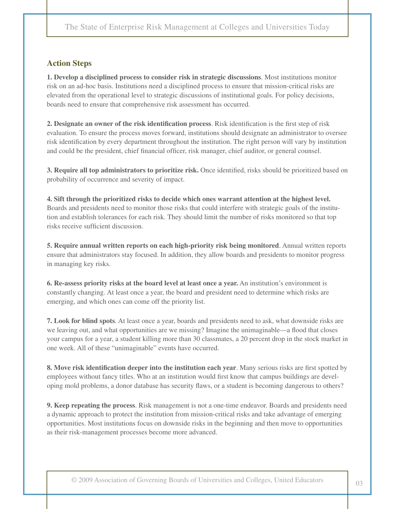### **Action Steps**

**1. Develop a disciplined process to consider risk in strategic discussions**. Most institutions monitor risk on an ad-hoc basis. Institutions need a disciplined process to ensure that mission-critical risks are elevated from the operational level to strategic discussions of institutional goals. For policy decisions, boards need to ensure that comprehensive risk assessment has occurred.

**2. Designate an owner of the risk identification process**. Risk identification is the first step of risk evaluation. To ensure the process moves forward, institutions should designate an administrator to oversee risk identification by every department throughout the institution. The right person will vary by institution and could be the president, chief financial officer, risk manager, chief auditor, or general counsel.

**3. Require all top administrators to prioritize risk.** Once identified, risks should be prioritized based on probability of occurrence and severity of impact.

**4. Sift through the prioritized risks to decide which ones warrant attention at the highest level.**  Boards and presidents need to monitor those risks that could interfere with strategic goals of the institution and establish tolerances for each risk. They should limit the number of risks monitored so that top risks receive sufficient discussion.

**5. Require annual written reports on each high-priority risk being monitored**. Annual written reports ensure that administrators stay focused. In addition, they allow boards and presidents to monitor progress in managing key risks.

**6. Re-assess priority risks at the board level at least once a year.** An institution's environment is constantly changing. At least once a year, the board and president need to determine which risks are emerging, and which ones can come off the priority list.

**7. Look for blind spots**. At least once a year, boards and presidents need to ask, what downside risks are we leaving out, and what opportunities are we missing? Imagine the unimaginable—a flood that closes your campus for a year, a student killing more than 30 classmates, a 20 percent drop in the stock market in one week. All of these "unimaginable" events have occurred.

**8. Move risk identification deeper into the institution each year**. Many serious risks are first spotted by employees without fancy titles. Who at an institution would first know that campus buildings are developing mold problems, a donor database has security flaws, or a student is becoming dangerous to others?

**9. Keep repeating the process**. Risk management is not a one-time endeavor. Boards and presidents need a dynamic approach to protect the institution from mission-critical risks and take advantage of emerging opportunities. Most institutions focus on downside risks in the beginning and then move to opportunities as their risk-management processes become more advanced.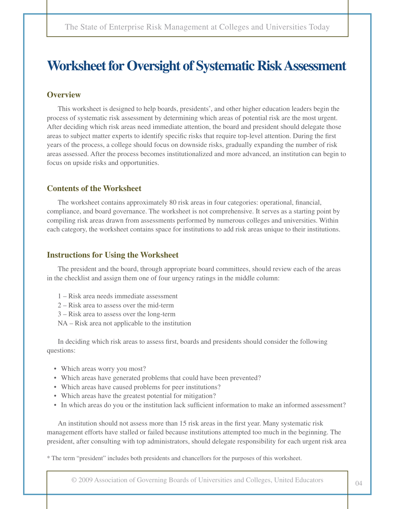# **Worksheet for Oversight of Systematic Risk Assessment**

#### **Overview**

This worksheet is designed to help boards, presidents\* , and other higher education leaders begin the process of systematic risk assessment by determining which areas of potential risk are the most urgent. After deciding which risk areas need immediate attention, the board and president should delegate those areas to subject matter experts to identify specific risks that require top-level attention. During the first years of the process, a college should focus on downside risks, gradually expanding the number of risk areas assessed. After the process becomes institutionalized and more advanced, an institution can begin to focus on upside risks and opportunities.

#### **Contents of the Worksheet**

The worksheet contains approximately 80 risk areas in four categories: operational, financial, compliance, and board governance. The worksheet is not comprehensive. It serves as a starting point by compiling risk areas drawn from assessments performed by numerous colleges and universities. Within each category, the worksheet contains space for institutions to add risk areas unique to their institutions.

#### **Instructions for Using the Worksheet**

The president and the board, through appropriate board committees, should review each of the areas in the checklist and assign them one of four urgency ratings in the middle column:

- 1 Risk area needs immediate assessment
- 2 Risk area to assess over the mid-term
- 3 Risk area to assess over the long-term
- NA Risk area not applicable to the institution

In deciding which risk areas to assess first, boards and presidents should consider the following questions:

- Which areas worry you most?
- Which areas have generated problems that could have been prevented?
- Which areas have caused problems for peer institutions?
- Which areas have the greatest potential for mitigation?
- In which areas do you or the institution lack sufficient information to make an informed assessment?

An institution should not assess more than 15 risk areas in the first year. Many systematic risk management efforts have stalled or failed because institutions attempted too much in the beginning. The president, after consulting with top administrators, should delegate responsibility for each urgent risk area

\* The term "president" includes both presidents and chancellors for the purposes of this worksheet.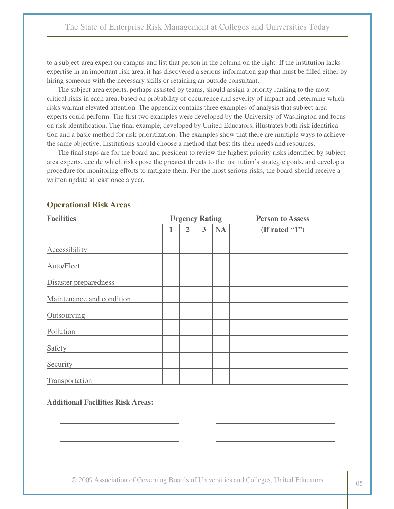to a subject-area expert on campus and list that person in the column on the right. If the institution lacks expertise in an important risk area, it has discovered a serious information gap that must be filled either by hiring someone with the necessary skills or retaining an outside consultant.

The subject area experts, perhaps assisted by teams, should assign a priority ranking to the most critical risks in each area, based on probability of occurrence and severity of impact and determine which risks warrant elevated attention. The appendix contains three examples of analysis that subject area experts could perform. The first two examples were developed by the University of Washington and focus on risk identification. The final example, developed by United Educators, illustrates both risk identification and a basic method for risk prioritization. The examples show that there are multiple ways to achieve the same objective. Institutions should choose a method that best fits their needs and resources.

The final steps are for the board and president to review the highest priority risks identified by subject area experts, decide which risks pose the greatest threats to the institution's strategic goals, and develop a procedure for monitoring efforts to mitigate them. For the most serious risks, the board should receive a written update at least once a year.

| <b>Facilities</b>         |   | <b>Urgency Rating</b> |                         |           | <b>Person to Assess</b> |
|---------------------------|---|-----------------------|-------------------------|-----------|-------------------------|
|                           | 1 | $\overline{2}$        | $\overline{\mathbf{3}}$ | <b>NA</b> | (If rated $(1")$        |
| Accessibility             |   |                       |                         |           |                         |
| Auto/Fleet                |   |                       |                         |           |                         |
| Disaster preparedness     |   |                       |                         |           |                         |
| Maintenance and condition |   |                       |                         |           |                         |
| Outsourcing               |   |                       |                         |           |                         |
| Pollution                 |   |                       |                         |           |                         |
| Safety                    |   |                       |                         |           |                         |
| Security                  |   |                       |                         |           |                         |
| Transportation            |   |                       |                         |           |                         |

#### **Operational Risk Areas**

**Additional Facilities Risk Areas:**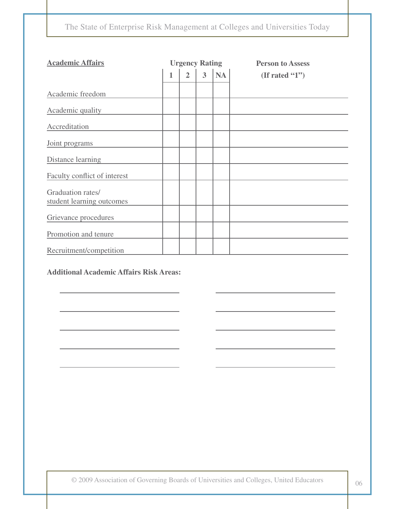| <b>Academic Affairs</b>                        |              | <b>Urgency Rating</b> |                |           | <b>Person to Assess</b> |
|------------------------------------------------|--------------|-----------------------|----------------|-----------|-------------------------|
|                                                | $\mathbf{1}$ | $\overline{2}$        | $\overline{3}$ | <b>NA</b> | (If rated $(1")$        |
| Academic freedom                               |              |                       |                |           |                         |
| Academic quality                               |              |                       |                |           |                         |
| Accreditation                                  |              |                       |                |           |                         |
| Joint programs                                 |              |                       |                |           |                         |
| Distance learning                              |              |                       |                |           |                         |
| Faculty conflict of interest                   |              |                       |                |           |                         |
| Graduation rates/<br>student learning outcomes |              |                       |                |           |                         |
| Grievance procedures                           |              |                       |                |           |                         |
| Promotion and tenure                           |              |                       |                |           |                         |
| Recruitment/competition                        |              |                       |                |           |                         |

#### **Additional Academic Affairs Risk Areas:**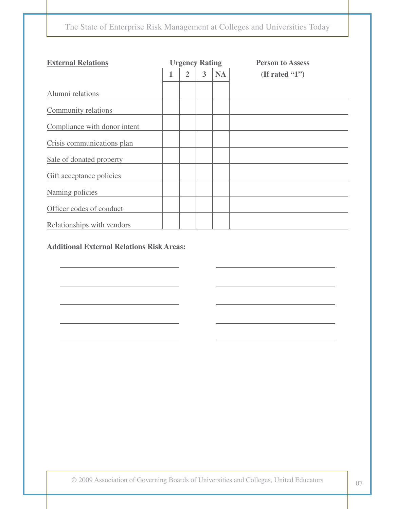| <b>External Relations</b>    |   | <b>Urgency Rating</b> |   |           | <b>Person to Assess</b> |
|------------------------------|---|-----------------------|---|-----------|-------------------------|
|                              | 1 | $\overline{2}$        | 3 | <b>NA</b> | (If rated $(1")$        |
| Alumni relations             |   |                       |   |           |                         |
| Community relations          |   |                       |   |           |                         |
| Compliance with donor intent |   |                       |   |           |                         |
| Crisis communications plan   |   |                       |   |           |                         |
| Sale of donated property     |   |                       |   |           |                         |
| Gift acceptance policies     |   |                       |   |           |                         |
| Naming policies              |   |                       |   |           |                         |
| Officer codes of conduct     |   |                       |   |           |                         |
| Relationships with vendors   |   |                       |   |           |                         |

### **Additional External Relations Risk Areas:**

© 2009 Association of Governing Boards of Universities and Colleges, United Educators <sup>07</sup>

 $\overline{\phantom{0}}$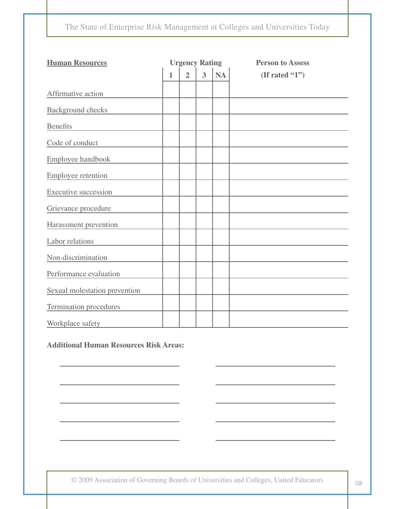| <b>Human Resources</b>        | <b>Urgency Rating</b> |                |   |           | <b>Person to Assess</b> |
|-------------------------------|-----------------------|----------------|---|-----------|-------------------------|
|                               | 1                     | $\overline{2}$ | 3 | <b>NA</b> | (If rated "1")          |
| Affirmative action            |                       |                |   |           |                         |
| <b>Background</b> checks      |                       |                |   |           |                         |
| <b>Benefits</b>               |                       |                |   |           |                         |
| Code of conduct               |                       |                |   |           |                         |
| Employee handbook             |                       |                |   |           |                         |
| Employee retention            |                       |                |   |           |                         |
| <b>Executive succession</b>   |                       |                |   |           |                         |
| Grievance procedure           |                       |                |   |           |                         |
| Harassment prevention         |                       |                |   |           |                         |
| Labor relations               |                       |                |   |           |                         |
| Non-discrimination            |                       |                |   |           |                         |
| Performance evaluation        |                       |                |   |           |                         |
| Sexual molestation prevention |                       |                |   |           |                         |
| <b>Termination procedures</b> |                       |                |   |           |                         |
| Workplace safety              |                       |                |   |           |                         |

**Additional Human Resources Risk Areas:**

© 2009 Association of Governing Boards of Universities and Colleges, United Educators <sup>08</sup>

 $\overline{\phantom{0}}$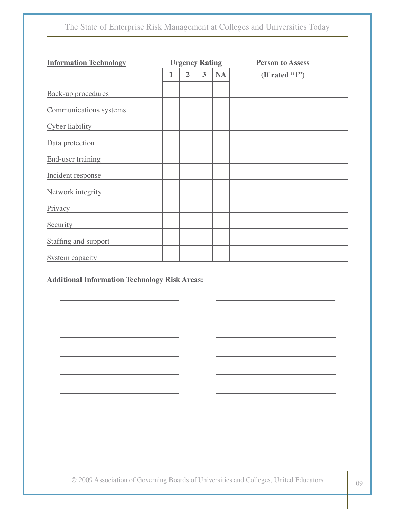| <b>Information Technology</b> | <b>Urgency Rating</b> |                |                |           | <b>Person to Assess</b> |
|-------------------------------|-----------------------|----------------|----------------|-----------|-------------------------|
|                               | 1                     | $\overline{2}$ | $\overline{3}$ | <b>NA</b> | (If rated $(1")$        |
| <b>Back-up procedures</b>     |                       |                |                |           |                         |
| Communications systems        |                       |                |                |           |                         |
| Cyber liability               |                       |                |                |           |                         |
| Data protection               |                       |                |                |           |                         |
| End-user training             |                       |                |                |           |                         |
| Incident response             |                       |                |                |           |                         |
| Network integrity             |                       |                |                |           |                         |
| Privacy                       |                       |                |                |           |                         |
| Security                      |                       |                |                |           |                         |
| Staffing and support          |                       |                |                |           |                         |
| System capacity               |                       |                |                |           |                         |

### **Additional Information Technology Risk Areas:**

© 2009 Association of Governing Boards of Universities and Colleges, United Educators <sup>09</sup>

 $\overline{\phantom{0}}$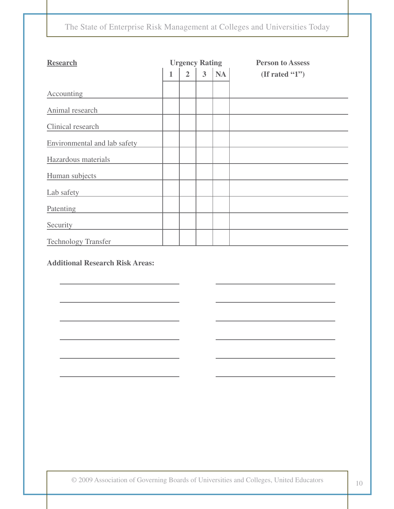| <b>Research</b>                        |              | <b>Urgency Rating</b> |                |    | <b>Person to Assess</b> |
|----------------------------------------|--------------|-----------------------|----------------|----|-------------------------|
|                                        | $\mathbf{1}$ | $\overline{2}$        | $\overline{3}$ | NA | (If rated $(1")$        |
| Accounting                             |              |                       |                |    |                         |
| Animal research                        |              |                       |                |    |                         |
| Clinical research                      |              |                       |                |    |                         |
| Environmental and lab safety           |              |                       |                |    |                         |
| Hazardous materials                    |              |                       |                |    |                         |
| Human subjects                         |              |                       |                |    |                         |
| Lab safety                             |              |                       |                |    |                         |
| Patenting                              |              |                       |                |    |                         |
| Security                               |              |                       |                |    |                         |
| <b>Technology Transfer</b>             |              |                       |                |    |                         |
| <b>Additional Research Risk Areas:</b> |              |                       |                |    |                         |

 $\overline{\phantom{a}}$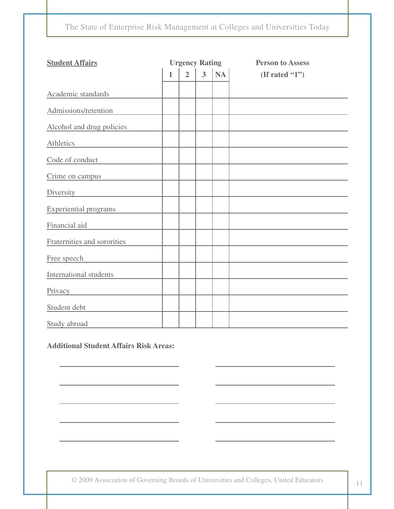| <b>Student Affairs</b>       | <b>Urgency Rating</b> |                |   |    | <b>Person to Assess</b> |
|------------------------------|-----------------------|----------------|---|----|-------------------------|
|                              | $\mathbf{1}$          | $\overline{2}$ | 3 | NA | (If rated "1")          |
| Academic standards           |                       |                |   |    |                         |
| Admissions/retention         |                       |                |   |    |                         |
| Alcohol and drug policies    |                       |                |   |    |                         |
| Athletics                    |                       |                |   |    |                         |
| Code of conduct              |                       |                |   |    |                         |
| Crime on campus              |                       |                |   |    |                         |
| Diversity                    |                       |                |   |    |                         |
| <b>Experiential programs</b> |                       |                |   |    |                         |
| Financial aid                |                       |                |   |    |                         |
| Fraternities and sororities  |                       |                |   |    |                         |
| Free speech                  |                       |                |   |    |                         |
| International students       |                       |                |   |    |                         |
| Privacy                      |                       |                |   |    |                         |
| Student debt                 |                       |                |   |    |                         |
| Study abroad                 |                       |                |   |    |                         |

**Additional Student Affairs Risk Areas:**

© 2009 Association of Governing Boards of Universities and Colleges, United Educators 11

 $\mathcal{L} = \{ \mathcal{L} \}$ 

 $\overline{\phantom{a}}$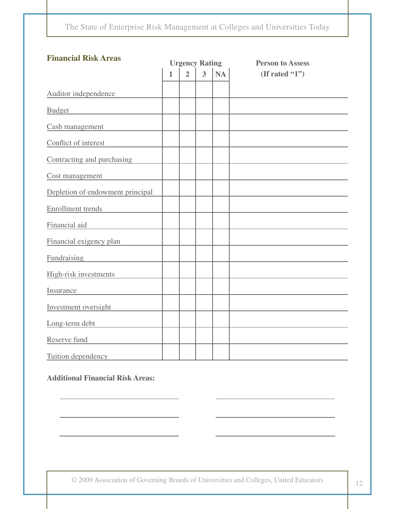| <b>Financial Risk Areas</b>      | <b>Urgency Rating</b> |                |                |    | <b>Person to Assess</b> |
|----------------------------------|-----------------------|----------------|----------------|----|-------------------------|
|                                  | $\mathbf{1}$          | $\overline{2}$ | $\overline{3}$ | NA | (If rated " $1"$ )      |
| Auditor independence             |                       |                |                |    |                         |
| <b>Budget</b>                    |                       |                |                |    |                         |
| Cash management                  |                       |                |                |    |                         |
| Conflict of interest             |                       |                |                |    |                         |
| Contracting and purchasing       |                       |                |                |    |                         |
| Cost management                  |                       |                |                |    |                         |
| Depletion of endowment principal |                       |                |                |    |                         |
| <b>Enrollment</b> trends         |                       |                |                |    |                         |
| Financial aid                    |                       |                |                |    |                         |
| Financial exigency plan          |                       |                |                |    |                         |
| Fundraising                      |                       |                |                |    |                         |
| High-risk investments            |                       |                |                |    |                         |
| Insurance                        |                       |                |                |    |                         |
| Investment oversight             |                       |                |                |    |                         |
| Long-term debt                   |                       |                |                |    |                         |
| Reserve fund                     |                       |                |                |    |                         |
| Tuition dependency               |                       |                |                |    |                         |

### **Additional Financial Risk Areas:**

© 2009 Association of Governing Boards of Universities and Colleges, United Educators <sup>12</sup>

 $\overline{a}$ 

 $\overline{\phantom{a}}$ 

 $\overline{a}$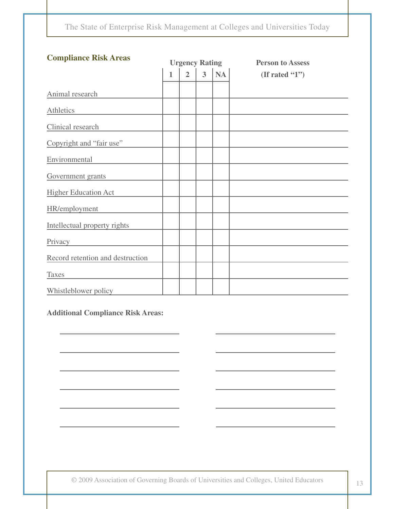| <b>Compliance Risk Areas</b>     | <b>Urgency Rating</b> |                |                |           | <b>Person to Assess</b> |
|----------------------------------|-----------------------|----------------|----------------|-----------|-------------------------|
|                                  | $\mathbf{1}$          | $\overline{2}$ | 3 <sup>1</sup> | <b>NA</b> | (If rated $(1")$        |
| Animal research                  |                       |                |                |           |                         |
| Athletics                        |                       |                |                |           |                         |
| Clinical research                |                       |                |                |           |                         |
| Copyright and "fair use"         |                       |                |                |           |                         |
| Environmental                    |                       |                |                |           |                         |
| Government grants                |                       |                |                |           |                         |
| <b>Higher Education Act</b>      |                       |                |                |           |                         |
| HR/employment                    |                       |                |                |           |                         |
| Intellectual property rights     |                       |                |                |           |                         |
| Privacy                          |                       |                |                |           |                         |
| Record retention and destruction |                       |                |                |           |                         |
| <b>Taxes</b>                     |                       |                |                |           |                         |
| Whistleblower policy             |                       |                |                |           |                         |

**Additional Compliance Risk Areas:**

© 2009 Association of Governing Boards of Universities and Colleges, United Educators <sup>13</sup>

 $\overline{\phantom{a}}$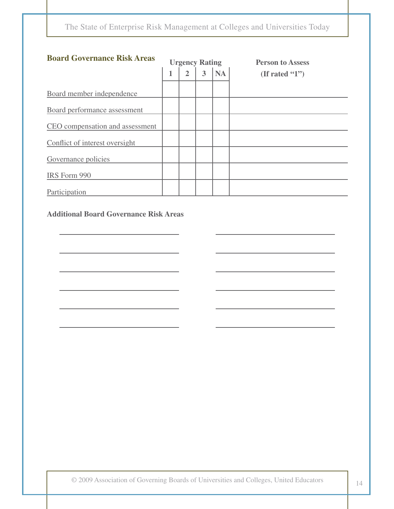| <b>Board Governance Risk Areas</b> | <b>Urgency Rating</b> |                |   | <b>Person to Assess</b> |                  |
|------------------------------------|-----------------------|----------------|---|-------------------------|------------------|
|                                    |                       | $\overline{2}$ | 3 | <b>NA</b>               | (If rated $(1")$ |
| Board member independence          |                       |                |   |                         |                  |
| Board performance assessment       |                       |                |   |                         |                  |
| CEO compensation and assessment    |                       |                |   |                         |                  |
| Conflict of interest oversight     |                       |                |   |                         |                  |
| Governance policies                |                       |                |   |                         |                  |
| IRS Form 990                       |                       |                |   |                         |                  |
| Participation                      |                       |                |   |                         |                  |

### **Additional Board Governance Risk Areas**

<u> 1989 - John Harry Harry Harry Harry Harry Harry Harry Harry Harry Harry Harry Harry Harry Harry Harry Harry Harry Harry Harry Harry Harry Harry Harry Harry Harry Harry Harry Harry Harry Harry Harry Harry Harry Harry Harr</u>

the control of the control of the control of

 $\overline{\phantom{a}}$ 

 $\overline{\phantom{0}}$ 

the control of the control of the control of the control of the control of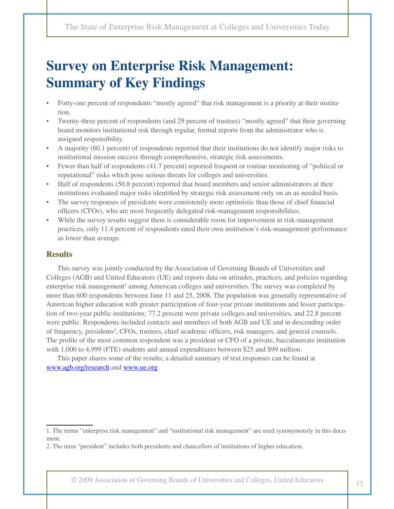# **Survey on Enterprise Risk Management: Summary of Key Findings**

- Forty-one percent of respondents "mostly agreed" that risk management is a priority at their institution.
- Twenty-three percent of respondents (and 29 percent of trustees) "mostly agreed" that their governing board monitors institutional risk through regular, formal reports from the administrator who is assigned responsibility.
- A majority (60.1 percent) of respondents reported that their institutions do not identify major risks to institutional mission success through comprehensive, strategic risk assessments.
- Fewer than half of respondents (41.7 percent) reported frequent or routine monitoring of "political or reputational" risks which pose serious threats for colleges and universities.
- Half of respondents (50.8 percent) reported that board members and senior administrators at their institutions evaluated major risks identified by strategic risk assessment only on an as-needed basis.
- The survey responses of presidents were consistently more optimistic than those of chief financial officers (CFOs), who are most frequently delegated risk-management responsibilities.
- While the survey results suggest there is considerable room for improvement in risk-management practices, only 11.4 percent of respondents rated their own institution's risk-management performance as lower than average.

#### **Results**

This survey was jointly conducted by the Association of Governing Boards of Universities and Colleges (AGB) and United Educators (UE) and reports data on attitudes, practices, and policies regarding enterprise risk management<sup>1</sup> among American colleges and universities. The survey was completed by more than 600 respondents between June 11 and 25, 2008. The population was generally representative of American higher education with greater participation of four-year private institutions and lesser participation of two-year public institutions; 77.2 percent were private colleges and universities, and 22.8 percent were public. Respondents included contacts and members of both AGB and UE and in descending order of frequency, presidents<sup>2</sup>, CFOs, trustees, chief academic officers, risk managers, and general counsels. The profile of the most common respondent was a president or CFO of a private, baccalaureate institution with 1,000 to 4,999 (FTE) students and annual expenditures between \$25 and \$99 million.

This paper shares some of the results; a detailed summary of text responses can be found at www.agb.org/research and www.ue.org.

<sup>1.</sup> The terms "enterprise risk management" and "institutional risk management" are used synonymously in this document.

<sup>2.</sup> The term "president" includes both presidents and chancellors of institutions of higher education.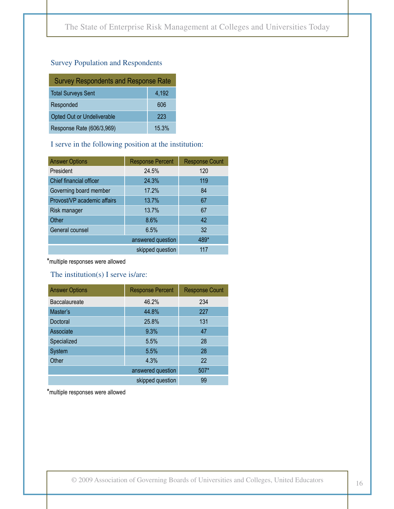#### Survey Population and Respondents

| <b>Survey Respondents and Response Rate</b> |       |  |  |  |
|---------------------------------------------|-------|--|--|--|
| <b>Total Surveys Sent</b>                   | 4,192 |  |  |  |
| Responded                                   | 606   |  |  |  |
| Opted Out or Undeliverable                  | 223   |  |  |  |
| Response Rate (606/3,969)                   | 15.3% |  |  |  |

#### I serve in the following position at the institution:

| <b>Answer Options</b>       | <b>Response Percent</b> | <b>Response Count</b> |
|-----------------------------|-------------------------|-----------------------|
| President                   | 24.5%                   | 120                   |
| Chief financial officer     | 24.3%                   | 119                   |
| Governing board member      | 17.2%                   | 84                    |
| Provost/VP academic affairs | 13.7%                   | 67                    |
| Risk manager                | 13.7%                   | 67                    |
| Other                       | 8.6%                    | 42                    |
| General counsel             | 6.5%                    | 32                    |
|                             | answered question       | 489*                  |
|                             | skipped question        | 117                   |

\*multiple responses were allowed

#### The institution(s) I serve is/are:

| <b>Answer Options</b> | <b>Response Percent</b> | <b>Response Count</b> |
|-----------------------|-------------------------|-----------------------|
| Baccalaureate         | 46.2%                   | 234                   |
| Master's              | 44.8%                   | 227                   |
| Doctoral              | 25.8%                   | 131                   |
| Associate             | 9.3%                    | 47                    |
| Specialized           | 5.5%                    | 28                    |
| System                | 5.5%                    | 28                    |
| Other                 | 4.3%                    | 22                    |
|                       | answered question       | $507*$                |
|                       | skipped question        | 99                    |

\*multiple responses were allowed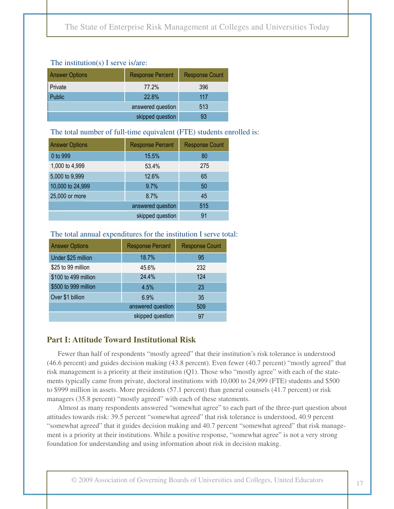#### The institution(s) I serve is/are:

| <b>Answer Options</b> | <b>Response Percent</b> | <b>Response Count</b> |
|-----------------------|-------------------------|-----------------------|
| <b>Private</b>        | 77.2%                   | 396                   |
| <b>Public</b>         | 22.8%                   | 117                   |
|                       | answered question       | 513                   |
|                       | skipped question        | 93                    |

#### The total number of full-time equivalent (FTE) students enrolled is:

| <b>Answer Options</b> | <b>Response Percent</b> | <b>Response Count</b> |
|-----------------------|-------------------------|-----------------------|
| 0 to 999              | 15.5%                   | 80                    |
| 1,000 to 4,999        | 53.4%                   | 275                   |
| 5,000 to 9,999        | 12.6%                   | 65                    |
| 10,000 to 24,999      | 9.7%                    | 50                    |
| 25,000 or more        | 8.7%                    | 45                    |
|                       | answered question       | 515                   |
|                       | skipped question        | 91                    |

#### The total annual expenditures for the institution I serve total:

| <b>Answer Options</b> | <b>Response Percent</b> | <b>Response Count</b> |
|-----------------------|-------------------------|-----------------------|
| Under \$25 million    | 18.7%                   | 95                    |
| \$25 to 99 million    | 45.6%                   | 232                   |
| \$100 to 499 million  | 24.4%                   | 124                   |
| \$500 to 999 million  | 4.5%                    | 23                    |
| Over \$1 billion      | 6.9%                    | 35                    |
|                       | answered question       | 509                   |
|                       | skipped question        | 97                    |

#### **Part I: Attitude Toward Institutional Risk**

Fewer than half of respondents "mostly agreed" that their institution's risk tolerance is understood (46.6 percent) and guides decision making (43.8 percent). Even fewer (40.7 percent) "mostly agreed" that risk management is a priority at their institution (Q1). Those who "mostly agree" with each of the statements typically came from private, doctoral institutions with 10,000 to 24,999 (FTE) students and \$500 to \$999 million in assets. More presidents (57.1 percent) than general counsels (41.7 percent) or risk managers (35.8 percent) "mostly agreed" with each of these statements.

Almost as many respondents answered "somewhat agree" to each part of the three-part question about attitudes towards risk: 39.5 percent "somewhat agreed" that risk tolerance is understood, 40.9 percent "somewhat agreed" that it guides decision making and 40.7 percent "somewhat agreed" that risk management is a priority at their institutions. While a positive response, "somewhat agree" is not a very strong foundation for understanding and using information about risk in decision making.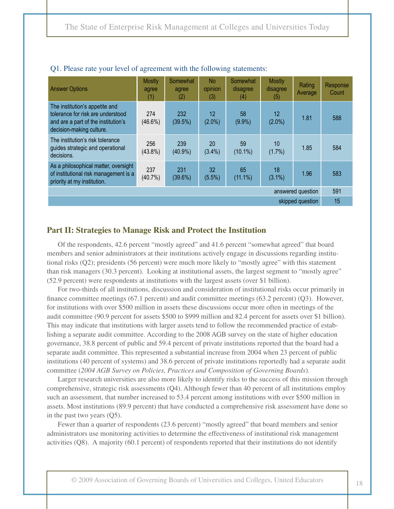| <b>Answer Options</b>                                                                                                                  | <b>Mostly</b><br>agree<br>(1) | Somewhat<br>agree<br>(2) | <b>No</b><br>opinion<br>(3) | Somewhat<br>disagree<br>(4) | <b>Mostly</b><br>disagree<br>(5) | Rating<br>Average | Response<br>Count |
|----------------------------------------------------------------------------------------------------------------------------------------|-------------------------------|--------------------------|-----------------------------|-----------------------------|----------------------------------|-------------------|-------------------|
| The institution's appetite and<br>tolerance for risk are understood<br>and are a part of the institution's<br>decision-making culture. | 274<br>$(46.6\%)$             | 232<br>(39.5%)           | 12<br>$(2.0\%)$             | 58<br>$(9.9\%)$             | $12 \,$<br>$(2.0\%)$             | 1.81              | 588               |
| The institution's risk tolerance<br>guides strategic and operational<br>decisions.                                                     | 256<br>$(43.8\%)$             | 239<br>$(40.9\%)$        | <b>20</b><br>$(3.4\%)$      | 59<br>$(10.1\%)$            | 10<br>(1.7%)                     | 1.85              | 584               |
| As a philosophical matter, oversight<br>of institutional risk management is a<br>priority at my institution.                           | 237<br>$(40.7\%)$             | 231<br>(39.6%)           | 32<br>$(5.5\%)$             | 65<br>$(11.1\%)$            | 18<br>$(3.1\%)$                  | 1.96              | 583               |
| answered question                                                                                                                      |                               |                          |                             |                             |                                  | 591               |                   |
| skipped question                                                                                                                       |                               |                          |                             |                             |                                  | 15                |                   |

#### Q1. Please rate your level of agreement with the following statements:

#### **Part II: Strategies to Manage Risk and Protect the Institution**

Of the respondents, 42.6 percent "mostly agreed" and 41.6 percent "somewhat agreed" that board members and senior administrators at their institutions actively engage in discussions regarding institutional risks (Q2); presidents (56 percent) were much more likely to "mostly agree" with this statement than risk managers (30.3 percent). Looking at institutional assets, the largest segment to "mostly agree" (52.9 percent) were respondents at institutions with the largest assets (over \$1 billion).

For two-thirds of all institutions, discussion and consideration of institutional risks occur primarily in finance committee meetings (67.1 percent) and audit committee meetings (63.2 percent) (Q3). However, for institutions with over \$500 million in assets these discussions occur more often in meetings of the audit committee (90.9 percent for assets \$500 to \$999 million and 82.4 percent for assets over \$1 billion). This may indicate that institutions with larger assets tend to follow the recommended practice of establishing a separate audit committee. According to the 2008 AGB survey on the state of higher education governance, 38.8 percent of public and 59.4 percent of private institutions reported that the board had a separate audit committee. This represented a substantial increase from 2004 when 23 percent of public institutions (40 percent of systems) and 38.6 percent of private institutions reportedly had a separate audit committee (*2004 AGB Survey on Policies, Practices and Composition of Governing Boards*).

Larger research universities are also more likely to identify risks to the success of this mission through comprehensive, strategic risk assessments (Q4). Although fewer than 40 percent of all institutions employ such an assessment, that number increased to 53.4 percent among institutions with over \$500 million in assets. Most institutions (89.9 percent) that have conducted a comprehensive risk assessment have done so in the past two years (Q5).

Fewer than a quarter of respondents (23.6 percent) "mostly agreed" that board members and senior administrators use monitoring activities to determine the effectiveness of institutional risk management activities (Q8). A majority (60.1 percent) of respondents reported that their institutions do not identify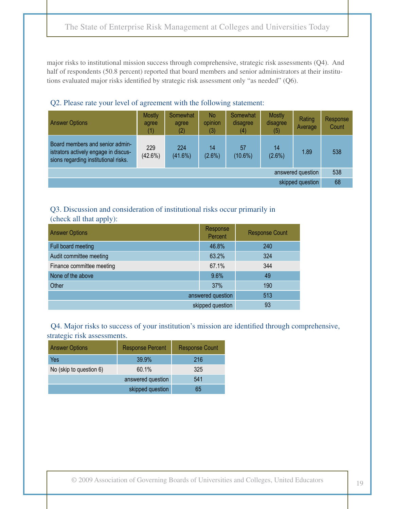major risks to institutional mission success through comprehensive, strategic risk assessments (Q4). And half of respondents (50.8 percent) reported that board members and senior administrators at their institutions evaluated major risks identified by strategic risk assessment only "as needed" (Q6).

| Q2. I Rase fair your fever of agreement with the following statement.                                           |                               |                          |                                  |                             |                                  |                   |                          |
|-----------------------------------------------------------------------------------------------------------------|-------------------------------|--------------------------|----------------------------------|-----------------------------|----------------------------------|-------------------|--------------------------|
| <b>Answer Options</b>                                                                                           | <b>Mostly</b><br>agree<br>(1) | Somewhat<br>agree<br>(2) | N <sub>o</sub><br>opinion<br>(3) | Somewhat<br>disagree<br>(4) | <b>Mostly</b><br>disagree<br>(5) | Rating<br>Average | <b>Response</b><br>Count |
| Board members and senior admin-<br>istrators actively engage in discus-<br>sions regarding institutional risks. | 229<br>$(42.6\%)$             | 224<br>$(41.6\%)$        | 14<br>$(2.6\%)$                  | 57<br>$(10.6\%)$            | 14<br>(2.6%)                     | 1.89              | 538                      |
| answered question                                                                                               |                               |                          |                                  |                             |                                  | 538               |                          |
| skipped question                                                                                                |                               |                          |                                  |                             | 68                               |                   |                          |

### Q2. Please rate your level of agreement with the following statement:

#### Q3. Discussion and consideration of institutional risks occur primarily in (check all that apply):

| <b>Answer Options</b>     | Response<br>Percent | <b>Response Count</b> |
|---------------------------|---------------------|-----------------------|
| Full board meeting        | 46.8%               | 240                   |
| Audit committee meeting   | 63.2%               | 324                   |
| Finance committee meeting | 67.1%               | 344                   |
| None of the above         | 9.6%                | 49                    |
| Other                     | 37%                 | 190                   |
|                           | answered question   | 513                   |
|                           | skipped question    | 93                    |

 Q4. Major risks to success of your institution's mission are identified through comprehensive, strategic risk assessments.

| <b>Answer Options</b>   | <b>Response Percent</b> | <b>Response Count</b> |
|-------------------------|-------------------------|-----------------------|
| Yes                     | 39.9%                   | 216                   |
| No (skip to question 6) | 60.1%                   | 325                   |
|                         | answered question       | 541                   |
|                         | skipped question        | 65                    |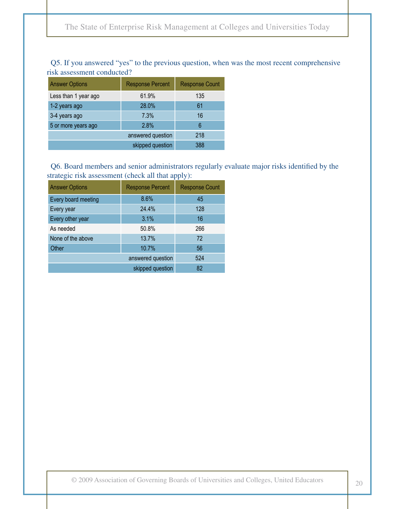| 11911 abboomioni conqacteg. |                         |                       |  |  |  |  |
|-----------------------------|-------------------------|-----------------------|--|--|--|--|
| <b>Answer Options</b>       | <b>Response Percent</b> | <b>Response Count</b> |  |  |  |  |
| Less than 1 year ago        | 61.9%                   | 135                   |  |  |  |  |
| 1-2 years ago               | 28.0%                   | 61                    |  |  |  |  |
| 3-4 years ago               | 7.3%                    | 16                    |  |  |  |  |
| 5 or more years ago         | 2.8%                    | 6                     |  |  |  |  |
|                             | answered question       | 218                   |  |  |  |  |
|                             | skipped question        | 388                   |  |  |  |  |

 Q5. If you answered "yes" to the previous question, when was the most recent comprehensive risk assessment conducted?

 Q6. Board members and senior administrators regularly evaluate major risks identified by the strategic risk assessment (check all that apply):

| <b>Answer Options</b> | <b>Response Percent</b> | <b>Response Count</b> |
|-----------------------|-------------------------|-----------------------|
| Every board meeting   | 8.6%                    | 45                    |
| Every year            | 24.4%                   | 128                   |
| Every other year      | 3.1%                    | 16                    |
| As needed             | 50.8%                   | 266                   |
| None of the above     | 13.7%                   | 72                    |
| Other                 | 10.7%                   | 56                    |
|                       | answered question       | 524                   |
|                       | skipped question        | 82                    |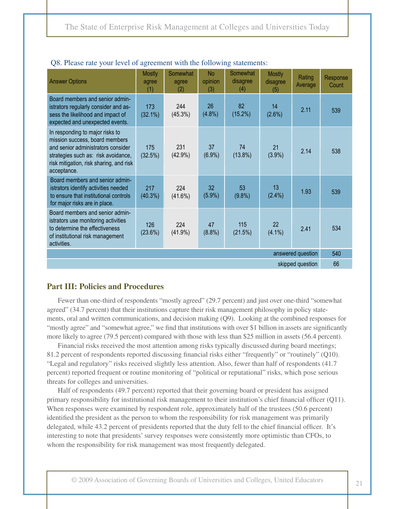| <b>Answer Options</b>                                                                                                                                                                                    | <b>Mostly</b><br>agree<br>(1) | Somewhat<br>agree<br>(2) | <b>No</b><br>opinion<br>(3)  | Somewhat<br>disagree<br>(4) | <b>Mostly</b><br>disagree<br>(5) | Rating<br>Average | Response<br>Count |
|----------------------------------------------------------------------------------------------------------------------------------------------------------------------------------------------------------|-------------------------------|--------------------------|------------------------------|-----------------------------|----------------------------------|-------------------|-------------------|
| Board members and senior admin-<br>istrators regularly consider and as-<br>sess the likelihood and impact of<br>expected and unexpected events.                                                          | 173<br>$(32.1\%)$             | 244<br>$(45.3\%)$        | 26<br>$(4.8\%)$              | 82<br>$(15.2\%)$            | 14<br>(2.6%)                     | 2.11              | 539               |
| In responding to major risks to<br>mission success, board members<br>and senior administrators consider<br>strategies such as: risk avoidance,<br>risk mitigation, risk sharing, and risk<br>acceptance. | 175<br>(32.5%)                | 231<br>$(42.9\%)$        | 37<br>$(6.9\%)$              | 74<br>$(13.8\%)$            | 21<br>(3.9%)                     | 2.14              | 538               |
| Board members and senior admin-<br>istrators identify activities needed<br>to ensure that institutional controls<br>for major risks are in place.                                                        | 217<br>$(40.3\%)$             | 224<br>$(41.6\%)$        | 32 <sub>2</sub><br>$(5.9\%)$ | 53<br>$(9.8\%)$             | 13<br>$(2.4\%)$                  | 1.93              | 539               |
| Board members and senior admin-<br>istrators use monitoring activities<br>to determine the effectiveness<br>of institutional risk management<br>activities.                                              | 126<br>(23.6%)                | 224<br>$(41.9\%)$        | 47<br>$(8.8\%)$              | 115<br>(21.5%)              | 22<br>$(4.1\%)$                  | 2.41              | 534               |
| answered question                                                                                                                                                                                        |                               |                          |                              |                             |                                  |                   | 540               |
| skipped question                                                                                                                                                                                         |                               |                          |                              |                             |                                  |                   | 66                |

#### Q8. Please rate your level of agreement with the following statements:

#### **Part III: Policies and Procedures**

Fewer than one-third of respondents "mostly agreed" (29.7 percent) and just over one-third "somewhat agreed" (34.7 percent) that their institutions capture their risk management philosophy in policy statements, oral and written communications, and decision making (Q9). Looking at the combined responses for "mostly agree" and "somewhat agree," we find that institutions with over \$1 billion in assets are significantly more likely to agree (79.5 percent) compared with those with less than \$25 million in assets (56.4 percent).

Financial risks received the most attention among risks typically discussed during board meetings; 81.2 percent of respondents reported discussing financial risks either "frequently" or "routinely" (Q10). "Legal and regulatory" risks received slightly less attention. Also, fewer than half of respondents (41.7 percent) reported frequent or routine monitoring of "political or reputational" risks, which pose serious threats for colleges and universities.

Half of respondents (49.7 percent) reported that their governing board or president has assigned primary responsibility for institutional risk management to their institution's chief financial officer (Q11). When responses were examined by respondent role, approximately half of the trustees (50.6 percent) identified the president as the person to whom the responsibility for risk management was primarily delegated, while 43.2 percent of presidents reported that the duty fell to the chief financial officer. It's interesting to note that presidents' survey responses were consistently more optimistic than CFOs, to whom the responsibility for risk management was most frequently delegated.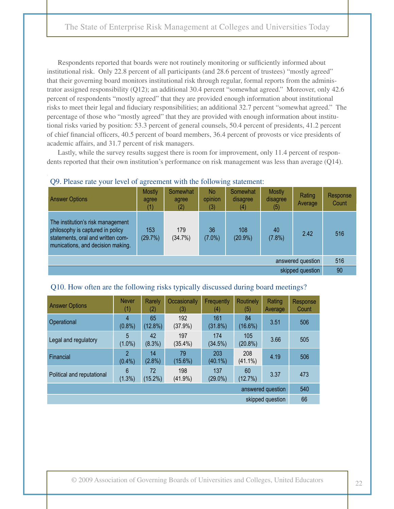Respondents reported that boards were not routinely monitoring or sufficiently informed about institutional risk. Only 22.8 percent of all participants (and 28.6 percent of trustees) "mostly agreed" that their governing board monitors institutional risk through regular, formal reports from the administrator assigned responsibility (Q12); an additional 30.4 percent "somewhat agreed." Moreover, only 42.6 percent of respondents "mostly agreed" that they are provided enough information about institutional risks to meet their legal and fiduciary responsibilities; an additional 32.7 percent "somewhat agreed." The percentage of those who "mostly agreed" that they are provided with enough information about institutional risks varied by position: 53.3 percent of general counsels, 50.4 percent of presidents, 41.2 percent of chief financial officers, 40.5 percent of board members, 36.4 percent of provosts or vice presidents of academic affairs, and 31.7 percent of risk managers.

Lastly, while the survey results suggest there is room for improvement, only 11.4 percent of respondents reported that their own institution's performance on risk management was less than average (Q14).

| <b>Answer Options</b>                                                                                                                           | <b>Mostly</b><br>agree | Somewhat<br>agree<br>(2) | <b>No</b><br>opinion<br>(3) | Somewhat<br>disagree<br>(4) | <b>Mostly</b><br>disagree<br>(5) | Rating<br>Average | Response<br>Count |
|-------------------------------------------------------------------------------------------------------------------------------------------------|------------------------|--------------------------|-----------------------------|-----------------------------|----------------------------------|-------------------|-------------------|
| The institution's risk management<br>philosophy is captured in policy<br>statements, oral and written com-<br>munications, and decision making. | 153<br>(29.7%)         | 179<br>(34.7%)           | 36<br>$(7.0\%)$             | 108<br>$(20.9\%)$           | 40<br>(7.8%)                     | 2.42              | 516               |
| answered question                                                                                                                               |                        |                          |                             |                             |                                  |                   | 516               |
| skipped question                                                                                                                                |                        |                          |                             |                             |                                  | 90                |                   |

#### Q9. Please rate your level of agreement with the following statement:

#### Q10. How often are the following risks typically discussed during board meetings?

| <b>Answer Options</b>      | <b>Never</b><br>(1)         | <b>Rarely</b><br>(2) | Occasionally<br>(3) | <b>Frequently</b><br>(4) | <b>Routinely</b><br>(5) | Rating<br>Average | <b>Response</b><br>Count |
|----------------------------|-----------------------------|----------------------|---------------------|--------------------------|-------------------------|-------------------|--------------------------|
| Operational                | 4<br>$(0.8\%)$              | 65<br>$(12.8\%)$     | 192<br>(37.9%)      | 161<br>(31.8%)           | 84<br>$(16.6\%)$        | 3.51              | 506                      |
| Legal and regulatory       | 5<br>$(1.0\%)$              | 42<br>$(8.3\%)$      | 197<br>$(35.4\%)$   | 174<br>(34.5%)           | 105<br>$(20.8\%)$       | 3.66              | 505                      |
| Financial                  | $\mathfrak{p}$<br>$(0.4\%)$ | 14<br>$(2.8\%)$      | 79<br>$(15.6\%)$    | 203<br>$(40.1\%)$        | 208<br>$(41.1\%)$       | 4.19              | 506                      |
| Political and reputational | 6<br>(1.3%)                 | 72<br>$(15.2\%)$     | 198<br>$(41.9\%)$   | 137<br>$(29.0\%)$        | 60<br>(12.7%)           | 3.37              | 473                      |
| answered question          |                             |                      |                     |                          |                         |                   | 540                      |
| skipped question           |                             |                      |                     |                          |                         |                   | 66                       |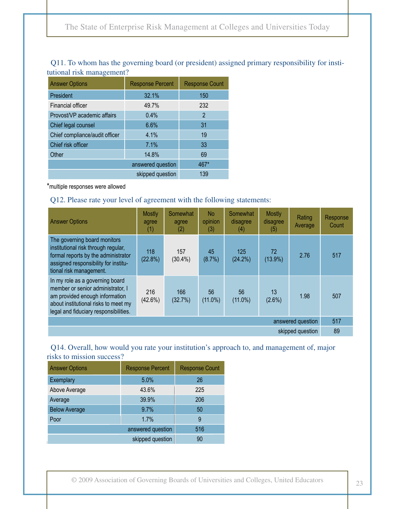| <b>Answer Options</b>          | <b>Response Percent</b> | <b>Response Count</b> |  |  |  |  |
|--------------------------------|-------------------------|-----------------------|--|--|--|--|
| President                      | 32.1%                   | 150                   |  |  |  |  |
| Financial officer              | 49.7%                   | 232                   |  |  |  |  |
| Provost/VP academic affairs    | 0.4%                    | $\overline{2}$        |  |  |  |  |
| Chief legal counsel            | 6.6%                    | 31                    |  |  |  |  |
| Chief compliance/audit officer | 4.1%                    | 19                    |  |  |  |  |
| Chief risk officer             | 7.1%                    | 33                    |  |  |  |  |
| Other                          | 14.8%                   | 69                    |  |  |  |  |
|                                | answered question       | 467*                  |  |  |  |  |
|                                | skipped question        | 139                   |  |  |  |  |

#### Q11. To whom has the governing board (or president) assigned primary responsibility for institutional risk management?

\*multiple responses were allowed

#### Q12. Please rate your level of agreement with the following statements:

| <b>Answer Options</b>                                                                                                                                                                   | <b>Mostly</b><br>agree<br>(1) | Somewhat<br>agree<br>(2) | No<br>opinion<br>(3) | Somewhat<br>disagree<br>(4) | <b>Mostly</b><br>disagree<br>(5) | Rating<br>Average | Response<br>Count |
|-----------------------------------------------------------------------------------------------------------------------------------------------------------------------------------------|-------------------------------|--------------------------|----------------------|-----------------------------|----------------------------------|-------------------|-------------------|
| The governing board monitors<br>institutional risk through regular,<br>formal reports by the administrator<br>assigned responsibility for institu-<br>tional risk management.           | 118<br>(22.8%)                | 157<br>$(30.4\%)$        | 45<br>(8.7%)         | 125<br>(24.2%)              | 72<br>$(13.9\%)$                 | 2.76              | 517               |
| In my role as a governing board<br>member or senior administrator, I<br>am provided enough information<br>about institutional risks to meet my<br>legal and fiduciary responsibilities. | 216<br>$(42.6\%)$             | 166<br>(32.7%)           | 56<br>$(11.0\%)$     | 56<br>$(11.0\%)$            | 13<br>$(2.6\%)$                  | 1.98              | 507               |
| answered question                                                                                                                                                                       |                               |                          |                      |                             |                                  |                   | 517               |
| skipped question                                                                                                                                                                        |                               |                          |                      |                             |                                  |                   | 89                |

#### Q14. Overall, how would you rate your institution's approach to, and management of, major risks to mission success?

| <b>Answer Options</b> | <b>Response Percent</b> | <b>Response Count</b> |
|-----------------------|-------------------------|-----------------------|
| Exemplary             | 5.0%                    | 26                    |
| Above Average         | 43.6%                   | 225                   |
| Average               | 39.9%                   | 206                   |
| <b>Below Average</b>  | 9.7%                    | 50                    |
| Poor                  | 1.7%                    | 9                     |
|                       | answered question       |                       |
|                       | skipped question        | 90                    |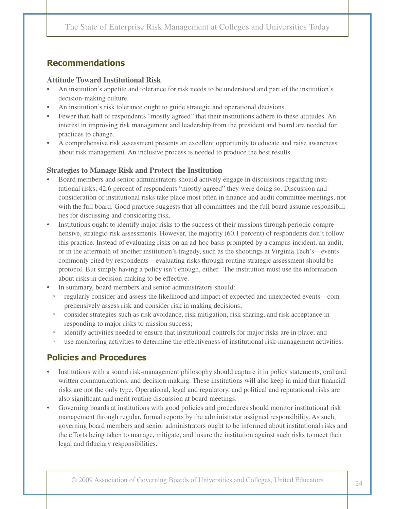# **Recommendations**

#### **Attitude Toward Institutional Risk**

- An institution's appetite and tolerance for risk needs to be understood and part of the institution's decision-making culture.
- An institution's risk tolerance ought to guide strategic and operational decisions.
- Fewer than half of respondents "mostly agreed" that their institutions adhere to these attitudes. An interest in improving risk management and leadership from the president and board are needed for practices to change.
- A comprehensive risk assessment presents an excellent opportunity to educate and raise awareness about risk management. An inclusive process is needed to produce the best results.

#### **Strategies to Manage Risk and Protect the Institution**

- Board members and senior administrators should actively engage in discussions regarding institutional risks; 42.6 percent of respondents "mostly agreed" they were doing so. Discussion and consideration of institutional risks take place most often in finance and audit committee meetings, not with the full board. Good practice suggests that all committees and the full board assume responsibilities for discussing and considering risk.
- • Institutions ought to identify major risks to the success of their missions through periodic comprehensive, strategic-risk assessments. However, the majority (60.1 percent) of respondents don't follow this practice. Instead of evaluating risks on an ad-hoc basis prompted by a campus incident, an audit, or in the aftermath of another institution's tragedy, such as the shootings at Virginia Tech's—events commonly cited by respondents—evaluating risks through routine strategic assessment should be protocol. But simply having a policy isn't enough, either. The institution must use the information about risks in decision-making to be effective.
- In summary, board members and senior administrators should:
	- regularly consider and assess the likelihood and impact of expected and unexpected events—comprehensively assess risk and consider risk in making decisions;
	- consider strategies such as risk avoidance, risk mitigation, risk sharing, and risk acceptance in responding to major risks to mission success;
	- identify activities needed to ensure that institutional controls for major risks are in place; and
	- use monitoring activities to determine the effectiveness of institutional risk-management activities.

# **Policies and Procedures**

- Institutions with a sound risk-management philosophy should capture it in policy statements, oral and written communications, and decision making. These institutions will also keep in mind that financial risks are not the only type. Operational, legal and regulatory, and political and reputational risks are also significant and merit routine discussion at board meetings.
- Governing boards at institutions with good policies and procedures should monitor institutional risk management through regular, formal reports by the administrator assigned responsibility. As such, governing board members and senior administrators ought to be informed about institutional risks and the efforts being taken to manage, mitigate, and insure the institution against such risks to meet their legal and fiduciary responsibilities.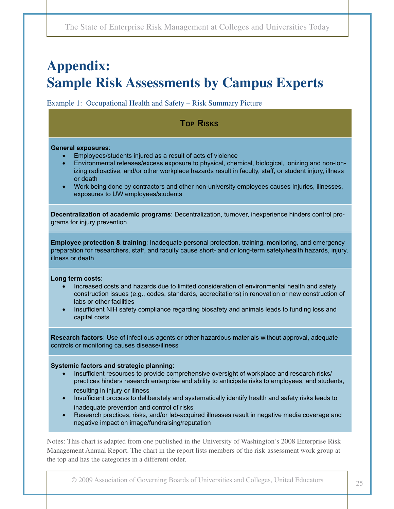# **Appendix: Sample Risk Assessments by Campus Experts**

Example 1: Occupational Health and Safety – Risk Summary Picture

# **Top Risks Top Risks**

#### **General exposures**:

- Employees/students injured as a result of acts of violence
- Environmental releases/excess exposure to physical, chemical, biological, ionizing and non-ionizing radioactive, and/or other workplace hazards result in faculty, staff, or student injury, illness or death
- Work being done by contractors and other non-university employees causes Injuries, illnesses, exposures to UW employees/students

**Decentralization of academic programs**: Decentralization, turnover, inexperience hinders control programs for injury prevention

**Employee protection & training**: Inadequate personal protection, training, monitoring, and emergency preparation for researchers, staff, and faculty cause short- and or long-term safety/health hazards, injury, illness or death

#### **Long term costs**:

- Increased costs and hazards due to limited consideration of environmental health and safety construction issues (e.g., codes, standards, accreditations) in renovation or new construction of labs or other facilities
- Insufficient NIH safety compliance regarding biosafety and animals leads to funding loss and capital costs

**Research factors**: Use of infectious agents or other hazardous materials without approval, adequate controls or monitoring causes disease/illness

#### **Systemic factors and strategic planning**:

- Insufficient resources to provide comprehensive oversight of workplace and research risks/ practices hinders research enterprise and ability to anticipate risks to employees, and students, resulting in injury or illness
- Insufficient process to deliberately and systematically identify health and safety risks leads to inadequate prevention and control of risks
- Research practices, risks, and/or lab-acquired illnesses result in negative media coverage and negative impact on image/fundraising/reputation

Notes: This chart is adapted from one published in the University of Washington's 2008 Enterprise Risk Management Annual Report. The chart in the report lists members of the risk-assessment work group at the top and has the categories in a different order.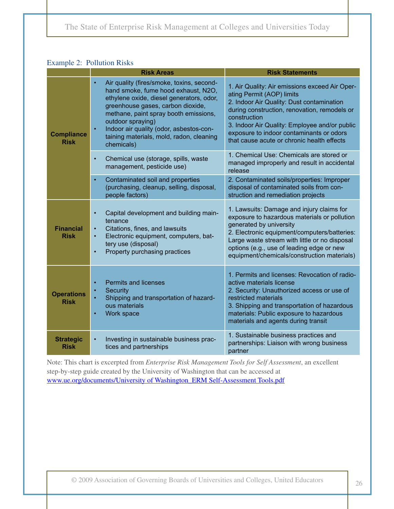#### Example 2: Pollution Risks

|                                  | <b>Risk Areas</b>                                                                                                                                                                                                                                                                                                                                              | <b>Risk Statements</b>                                                                                                                                                                                                                                                                                                              |
|----------------------------------|----------------------------------------------------------------------------------------------------------------------------------------------------------------------------------------------------------------------------------------------------------------------------------------------------------------------------------------------------------------|-------------------------------------------------------------------------------------------------------------------------------------------------------------------------------------------------------------------------------------------------------------------------------------------------------------------------------------|
| <b>Compliance</b><br><b>Risk</b> | Air quality (fires/smoke, toxins, second-<br>$\bullet$<br>hand smoke, fume hood exhaust, N2O,<br>ethylene oxide, diesel generators, odor,<br>greenhouse gases, carbon dioxide,<br>methane, paint spray booth emissions,<br>outdoor spraying)<br>Indoor air quality (odor, asbestos-con-<br>$\bullet$<br>taining materials, mold, radon, cleaning<br>chemicals) | 1. Air Quality: Air emissions exceed Air Oper-<br>ating Permit (AOP) limits<br>2. Indoor Air Quality: Dust contamination<br>during construction, renovation, remodels or<br>construction<br>3. Indoor Air Quality: Employee and/or public<br>exposure to indoor contaminants or odors<br>that cause acute or chronic health effects |
|                                  | Chemical use (storage, spills, waste<br>$\bullet$<br>management, pesticide use)                                                                                                                                                                                                                                                                                | 1. Chemical Use: Chemicals are stored or<br>managed improperly and result in accidental<br>release                                                                                                                                                                                                                                  |
|                                  | Contaminated soil and properties<br>$\bullet$<br>(purchasing, cleanup, selling, disposal,<br>people factors)                                                                                                                                                                                                                                                   | 2. Contaminated soils/properties: Improper<br>disposal of contaminated soils from con-<br>struction and remediation projects                                                                                                                                                                                                        |
| <b>Financial</b><br><b>Risk</b>  | Capital development and building main-<br>$\bullet$<br>tenance<br>Citations, fines, and lawsuits<br>$\bullet$<br>Electronic equipment, computers, bat-<br>$\bullet$<br>tery use (disposal)<br>Property purchasing practices<br>$\bullet$                                                                                                                       | 1. Lawsuits: Damage and injury claims for<br>exposure to hazardous materials or pollution<br>generated by university<br>2. Electronic equipment/computers/batteries:<br>Large waste stream with little or no disposal<br>options (e.g., use of leading edge or new<br>equipment/chemicals/construction materials)                   |
| <b>Operations</b><br><b>Risk</b> | <b>Permits and licenses</b><br>$\bullet$<br><b>Security</b><br>$\bullet$<br>Shipping and transportation of hazard-<br>ous materials<br>Work space<br>$\bullet$                                                                                                                                                                                                 | 1. Permits and licenses: Revocation of radio-<br>active materials license<br>2. Security: Unauthorized access or use of<br>restricted materials<br>3. Shipping and transportation of hazardous<br>materials: Public exposure to hazardous<br>materials and agents during transit                                                    |
| <b>Strategic</b><br><b>Risk</b>  | Investing in sustainable business prac-<br>$\bullet$<br>tices and partnerships                                                                                                                                                                                                                                                                                 | 1. Sustainable business practices and<br>partnerships: Liaison with wrong business<br>partner                                                                                                                                                                                                                                       |

Note: This chart is excerpted from *Enterprise Risk Management Tools for Self Assessment*, an excellent step-by-step guide created by the University of Washington that can be accessed at [www.ue.org/documents/University of Washington\\_ERM Self-Assessment Tools.pdf](http://www.ue.org/documents/University%20of%20Washington_ERM%20Self-Assessment%20Tools.pdf)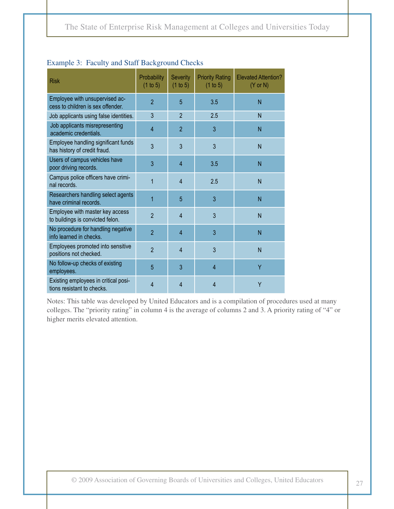| <b>Risk</b>                                                         | Probability<br>(1 to 5) | <b>Severity</b><br>(1 to 5) | <b>Priority Rating</b><br>(1 to 5) | <b>Elevated Attention?</b><br>$(Y \text{ or } N)$ |
|---------------------------------------------------------------------|-------------------------|-----------------------------|------------------------------------|---------------------------------------------------|
| Employee with unsupervised ac-<br>cess to children is sex offender. | $\overline{2}$          | 5                           | 3.5                                | N                                                 |
| Job applicants using false identities.                              | 3                       | $\overline{2}$              | 2.5                                | N                                                 |
| Job applicants misrepresenting<br>academic credentials.             | $\overline{4}$          | $\overline{2}$              | 3                                  | N                                                 |
| Employee handling significant funds<br>has history of credit fraud. | 3                       | 3                           | 3                                  | N                                                 |
| Users of campus vehicles have<br>poor driving records.              | 3                       | $\overline{4}$              | 3.5                                | N                                                 |
| Campus police officers have crimi-<br>nal records.                  | 1                       | $\overline{4}$              | 2.5                                | N                                                 |
| Researchers handling select agents<br>have criminal records.        | 1                       | 5                           | 3                                  | N                                                 |
| Employee with master key access<br>to buildings is convicted felon. | $\overline{2}$          | $\overline{4}$              | 3                                  | N                                                 |
| No procedure for handling negative<br>info learned in checks.       | $\overline{2}$          | $\overline{4}$              | 3                                  | N                                                 |
| Employees promoted into sensitive<br>positions not checked.         | $\overline{2}$          | 4                           | 3                                  | N                                                 |
| No follow-up checks of existing<br>employees.                       | 5                       | 3                           | $\overline{4}$                     | Ÿ                                                 |
| Existing employees in critical posi-<br>tions resistant to checks.  | 4                       | 4                           | 4                                  | Y                                                 |

#### Example 3: Faculty and Staff Background Checks

Notes: This table was developed by United Educators and is a compilation of procedures used at many colleges. The "priority rating" in column 4 is the average of columns 2 and 3. A priority rating of "4" or higher merits elevated attention.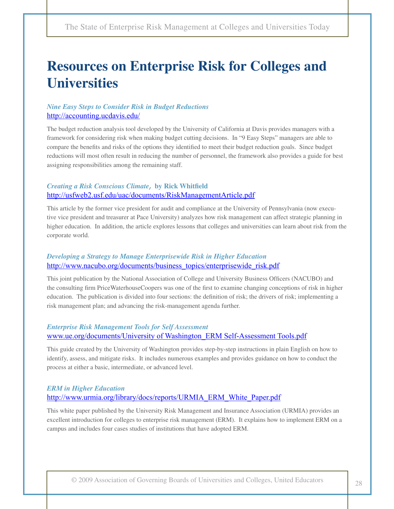# **Resources on Enterprise Risk for Colleges and Universities**

#### *Nine Easy Steps to Consider Risk in Budget Reductions* http://accounting.ucdavis.edu/

The budget reduction analysis tool developed by the University of California at Davis provides managers with a framework for considering risk when making budget cutting decisions. In "9 Easy Steps" managers are able to compare the benefits and risks of the options they identified to meet their budget reduction goals. Since budget reductions will most often result in reducing the number of personnel, the framework also provides a guide for best assigning responsibilities among the remaining staff.

#### *Creating a Risk Conscious Climate,* **by Rick Whitfield** http://usfweb2.usf.edu/uac/documents/RiskManagementArticle.pdf

This article by the former vice president for audit and compliance at the University of Pennsylvania (now executive vice president and treasurer at Pace University) analyzes how risk management can affect strategic planning in higher education. In addition, the article explores lessons that colleges and universities can learn about risk from the corporate world.

#### *Developing a Strategy to Manage Enterprisewide Risk in Higher Education* http://www.nacubo.org/documents/business\_topics/enterprisewide\_risk.pdf

This joint publication by the National Association of College and University Business Officers (NACUBO) and the consulting firm PriceWaterhouseCoopers was one of the first to examine changing conceptions of risk in higher education. The publication is divided into four sections: the definition of risk; the drivers of risk; implementing a risk management plan; and advancing the risk-management agenda further.

#### *Enterprise Risk Management Tools for Self Assessment* [www.ue.org/documents/University of Washington\\_ERM Self-Assessment Tools.pdf](http://www.ue.org/documents/University%20of%20Washington_ERM%20Self-Assessment%20Tools.pdf)

This guide created by the University of Washington provides step-by-step instructions in plain English on how to identify, assess, and mitigate risks. It includes numerous examples and provides guidance on how to conduct the process at either a basic, intermediate, or advanced level.

#### *ERM in Higher Education* http://www.urmia.org/library/docs/reports/URMIA\_ERM\_White\_Paper.pdf

This white paper published by the University Risk Management and Insurance Association (URMIA) provides an excellent introduction for colleges to enterprise risk management (ERM). It explains how to implement ERM on a campus and includes four cases studies of institutions that have adopted ERM.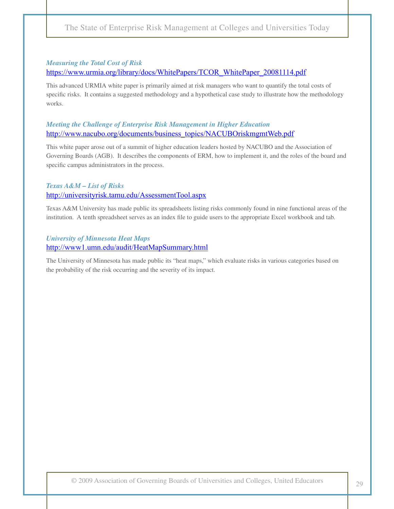#### *Measuring the Total Cost of Risk* https://www.urmia.org/library/docs/WhitePapers/TCOR\_WhitePaper\_20081114.pdf

This advanced URMIA white paper is primarily aimed at risk managers who want to quantify the total costs of specific risks. It contains a suggested methodology and a hypothetical case study to illustrate how the methodology works.

#### *Meeting the Challenge of Enterprise Risk Management in Higher Education* http://www.nacubo.org/documents/business\_topics/NACUBOriskmgmtWeb.pdf

This white paper arose out of a summit of higher education leaders hosted by NACUBO and the Association of Governing Boards (AGB). It describes the components of ERM, how to implement it, and the roles of the board and specific campus administrators in the process.

#### *Texas A&M – List of Risks* http://universityrisk.tamu.edu/AssessmentTool.aspx

Texas A&M University has made public its spreadsheets listing risks commonly found in nine functional areas of the institution. A tenth spreadsheet serves as an index file to guide users to the appropriate Excel workbook and tab.

#### *University of Minnesota Heat Maps* http://www1.umn.edu/audit/HeatMapSummary.html

The University of Minnesota has made public its "heat maps," which evaluate risks in various categories based on the probability of the risk occurring and the severity of its impact.